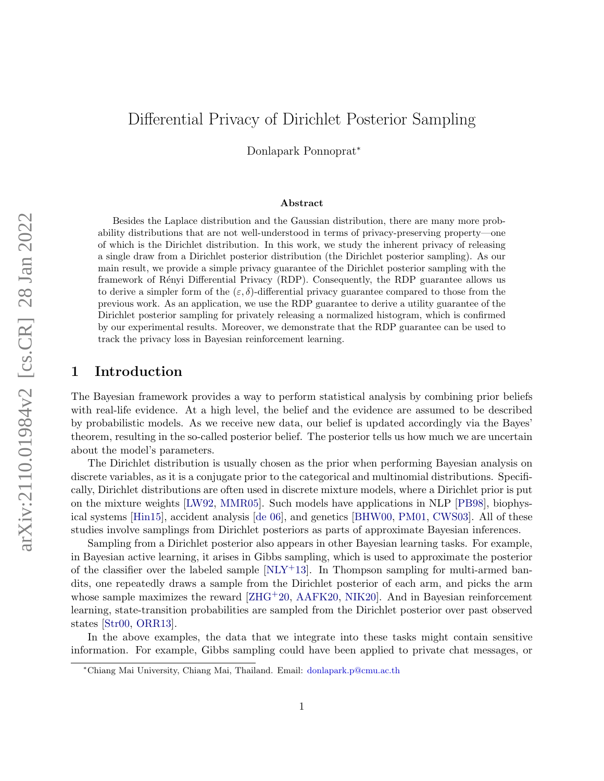# Differential Privacy of Dirichlet Posterior Sampling

Donlapark Ponnoprat<sup>∗</sup>

#### Abstract

Besides the Laplace distribution and the Gaussian distribution, there are many more probability distributions that are not well-understood in terms of privacy-preserving property—one of which is the Dirichlet distribution. In this work, we study the inherent privacy of releasing a single draw from a Dirichlet posterior distribution (the Dirichlet posterior sampling). As our main result, we provide a simple privacy guarantee of the Dirichlet posterior sampling with the framework of Rényi Differential Privacy (RDP). Consequently, the RDP guarantee allows us to derive a simpler form of the  $(\varepsilon, \delta)$ -differential privacy guarantee compared to those from the previous work. As an application, we use the RDP guarantee to derive a utility guarantee of the Dirichlet posterior sampling for privately releasing a normalized histogram, which is confirmed by our experimental results. Moreover, we demonstrate that the RDP guarantee can be used to track the privacy loss in Bayesian reinforcement learning.

# 1 Introduction

The Bayesian framework provides a way to perform statistical analysis by combining prior beliefs with real-life evidence. At a high level, the belief and the evidence are assumed to be described by probabilistic models. As we receive new data, our belief is updated accordingly via the Bayes' theorem, resulting in the so-called posterior belief. The posterior tells us how much we are uncertain about the model's parameters.

The Dirichlet distribution is usually chosen as the prior when performing Bayesian analysis on discrete variables, as it is a conjugate prior to the categorical and multinomial distributions. Specifically, Dirichlet distributions are often used in discrete mixture models, where a Dirichlet prior is put on the mixture weights [\[LW92,](#page-14-0) [MMR05\]](#page-14-1). Such models have applications in NLP [\[PB98\]](#page-15-0), biophysical systems [\[Hin15\]](#page-14-2), accident analysis [\[de 06\]](#page-13-0), and genetics [\[BHW00,](#page-13-1) [PM01,](#page-15-1) [CWS03\]](#page-13-2). All of these studies involve samplings from Dirichlet posteriors as parts of approximate Bayesian inferences.

Sampling from a Dirichlet posterior also appears in other Bayesian learning tasks. For example, in Bayesian active learning, it arises in Gibbs sampling, which is used to approximate the posterior of the classifier over the labeled sample  $[NLY+13]$ . In Thompson sampling for multi-armed bandits, one repeatedly draws a sample from the Dirichlet posterior of each arm, and picks the arm whose sample maximizes the reward  $[ZHG^+20, AAFK20, NIK20]$  $[ZHG^+20, AAFK20, NIK20]$  $[ZHG^+20, AAFK20, NIK20]$  $[ZHG^+20, AAFK20, NIK20]$ . And in Bayesian reinforcement learning, state-transition probabilities are sampled from the Dirichlet posterior over past observed states [\[Str00,](#page-15-4) [ORR13\]](#page-15-5).

In the above examples, the data that we integrate into these tasks might contain sensitive information. For example, Gibbs sampling could have been applied to private chat messages, or

<sup>∗</sup>Chiang Mai University, Chiang Mai, Thailand. Email: [donlapark.p@cmu.ac.th](mailto:donlapark.p@cmu.ac.th)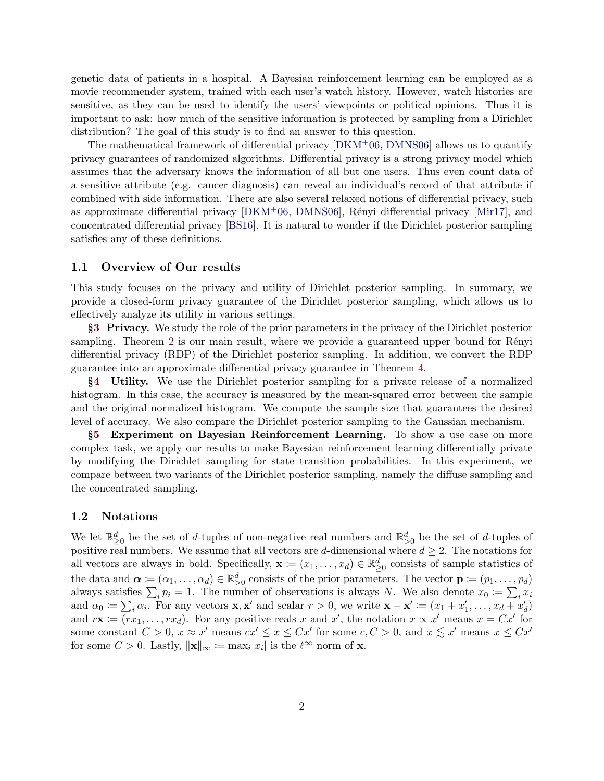genetic data of patients in a hospital. A Bayesian reinforcement learning can be employed as a movie recommender system, trained with each user's watch history. However, watch histories are sensitive, as they can be used to identify the users' viewpoints or political opinions. Thus it is important to ask: how much of the sensitive information is protected by sampling from a Dirichlet distribution? The goal of this study is to find an answer to this question.

The mathematical framework of differential privacy  $[DKM<sup>+</sup>06, DMNS06]$  $[DKM<sup>+</sup>06, DMNS06]$  allows us to quantify privacy guarantees of randomized algorithms. Differential privacy is a strong privacy model which assumes that the adversary knows the information of all but one users. Thus even count data of a sensitive attribute (e.g. cancer diagnosis) can reveal an individual's record of that attribute if combined with side information. There are also several relaxed notions of differential privacy, such as approximate differential privacy  $[DKM<sup>+</sup>06, DMNS06]$  $[DKM<sup>+</sup>06, DMNS06]$ , Rényi differential privacy  $[Mir17]$ , and concentrated differential privacy [\[BS16\]](#page-13-6). It is natural to wonder if the Dirichlet posterior sampling satisfies any of these definitions.

#### 1.1 Overview of Our results

This study focuses on the privacy and utility of Dirichlet posterior sampling. In summary, we provide a closed-form privacy guarantee of the Dirichlet posterior sampling, which allows us to effectively analyze its utility in various settings.

§[3](#page-5-0) Privacy. We study the role of the prior parameters in the privacy of the Dirichlet posterior sampling. Theorem [2](#page-6-0) is our main result, where we provide a guaranteed upper bound for Rényi differential privacy (RDP) of the Dirichlet posterior sampling. In addition, we convert the RDP guarantee into an approximate differential privacy guarantee in Theorem [4.](#page-8-0)

§[4](#page-9-0) Utility. We use the Dirichlet posterior sampling for a private release of a normalized histogram. In this case, the accuracy is measured by the mean-squared error between the sample and the original normalized histogram. We compute the sample size that guarantees the desired level of accuracy. We also compare the Dirichlet posterior sampling to the Gaussian mechanism.

§[5](#page-11-0) Experiment on Bayesian Reinforcement Learning. To show a use case on more complex task, we apply our results to make Bayesian reinforcement learning differentially private by modifying the Dirichlet sampling for state transition probabilities. In this experiment, we compare between two variants of the Dirichlet posterior sampling, namely the diffuse sampling and the concentrated sampling.

#### 1.2 Notations

We let  $\mathbb{R}_{\geq 0}^d$  be the set of d-tuples of non-negative real numbers and  $\mathbb{R}_{>0}^d$  be the set of d-tuples of positive real numbers. We assume that all vectors are d-dimensional where  $d \geq 2$ . The notations for all vectors are always in bold. Specifically,  $\mathbf{x} := (x_1, \dots, x_d) \in \mathbb{R}_{\geq 0}^d$  consists of sample statistics of the data and  $\boldsymbol{\alpha} \coloneqq (\alpha_1, \dots, \alpha_d) \in \mathbb{R}_{>0}^d$  consists of the prior parameters. The vector  $\mathbf{p} \coloneqq (p_1, \dots, p_d)$ always satisfies  $\sum_i p_i = 1$ . The number of observations is always N. We also denote  $x_0 \coloneqq \sum_i x_i$ and  $\alpha_0 \coloneqq \sum_i \alpha_i$ . For any vectors  $\mathbf{x}, \mathbf{x}'$  and scalar  $r > 0$ , we write  $\mathbf{x} + \mathbf{x}' \coloneqq (x_1 + x'_1, \dots, x_d + x'_d)$ and  $r\mathbf{x} := (rx_1, \ldots, rx_d)$ . For any positive reals x and x', the notation  $x \propto x'$  means  $x = Cx'$  for some constant  $C > 0$ ,  $x \approx x'$  means  $cx' \le x \le Cx'$  for some  $c, C > 0$ , and  $x \le x'$  means  $x \le Cx'$ for some  $C > 0$ . Lastly,  $\|\mathbf{x}\|_{\infty} \coloneqq \max_i |x_i|$  is the  $\ell^{\infty}$  norm of **x**.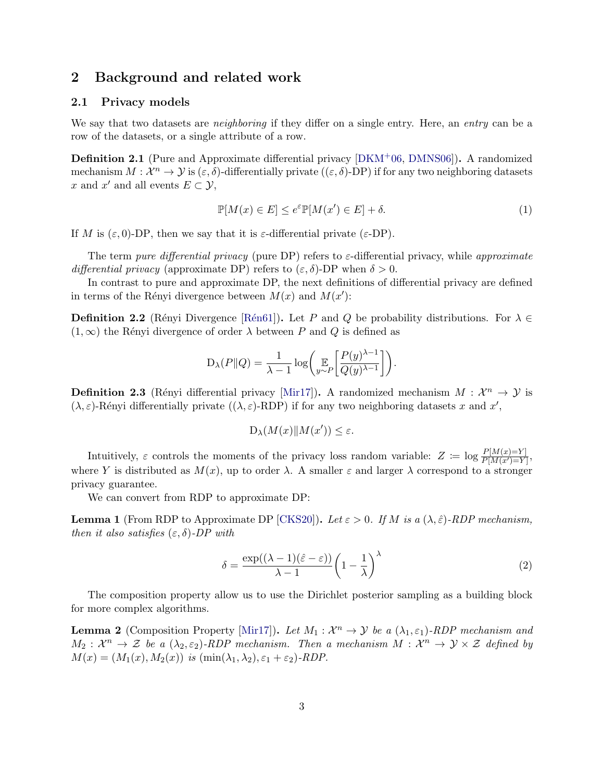### 2 Background and related work

#### <span id="page-2-0"></span>2.1 Privacy models

We say that two datasets are *neighboring* if they differ on a single entry. Here, an *entry* can be a row of the datasets, or a single attribute of a row.

Definition 2.1 (Pure and Approximate differential privacy [\[DKM](#page-13-4)+06, [DMNS06\]](#page-13-5)). A randomized mechanism  $M: \mathcal{X}^n \to \mathcal{Y}$  is  $(\varepsilon, \delta)$ -differentially private  $((\varepsilon, \delta)$ -DP) if for any two neighboring datasets x and x' and all events  $E \subset \mathcal{Y}$ ,

<span id="page-2-1"></span>
$$
\mathbb{P}[M(x) \in E] \le e^{\varepsilon} \mathbb{P}[M(x') \in E] + \delta. \tag{1}
$$

If M is  $(\varepsilon, 0)$ -DP, then we say that it is  $\varepsilon$ -differential private  $(\varepsilon$ -DP).

The term pure differential privacy (pure DP) refers to  $\varepsilon$ -differential privacy, while approximate differential privacy (approximate DP) refers to  $(\varepsilon, \delta)$ -DP when  $\delta > 0$ .

In contrast to pure and approximate DP, the next definitions of differential privacy are defined in terms of the Rényi divergence between  $M(x)$  and  $M(x')$ :

**Definition 2.2** (Rényi Divergence [Rén61]). Let P and Q be probability distributions. For  $\lambda \in$  $(1, \infty)$  the Rényi divergence of order  $\lambda$  between P and Q is defined as

$$
D_{\lambda}(P||Q) = \frac{1}{\lambda - 1} \log \left( \mathop{\mathbb{E}}_{y \sim P} \left[ \frac{P(y)^{\lambda - 1}}{Q(y)^{\lambda - 1}} \right] \right).
$$

**Definition 2.3** (Rényi differential privacy [\[Mir17\]](#page-14-3)). A randomized mechanism  $M : \mathcal{X}^n \to \mathcal{Y}$  is  $(\lambda, \varepsilon)$ -Rényi differentially private  $((\lambda, \varepsilon)$ -RDP) if for any two neighboring datasets x and x',

$$
D_{\lambda}(M(x)\|M(x')) \leq \varepsilon.
$$

Intuitively,  $\varepsilon$  controls the moments of the privacy loss random variable:  $Z := \log \frac{P[M(x)=Y]}{P[M(x')=Y]},$ where Y is distributed as  $M(x)$ , up to order  $\lambda$ . A smaller  $\varepsilon$  and larger  $\lambda$  correspond to a stronger privacy guarantee.

We can convert from RDP to approximate DP:

<span id="page-2-2"></span>**Lemma 1** (From RDP to Approximate DP [\[CKS20\]](#page-13-7)). Let  $\varepsilon > 0$ . If M is a  $(\lambda, \hat{\varepsilon})$ -RDP mechanism, then it also satisfies  $(\varepsilon, \delta)$ -DP with

$$
\delta = \frac{\exp((\lambda - 1)(\hat{\varepsilon} - \varepsilon))}{\lambda - 1} \left(1 - \frac{1}{\lambda}\right)^{\lambda} \tag{2}
$$

The composition property allow us to use the Dirichlet posterior sampling as a building block for more complex algorithms.

<span id="page-2-3"></span>**Lemma 2** (Composition Property [\[Mir17\]](#page-14-3)). Let  $M_1 : \mathcal{X}^n \to \mathcal{Y}$  be a  $(\lambda_1, \varepsilon_1)$ -RDP mechanism and  $M_2: \mathcal{X}^n \to \mathcal{Z}$  be a  $(\lambda_2, \varepsilon_2)$ -RDP mechanism. Then a mechanism  $M: \mathcal{X}^n \to \mathcal{Y} \times \mathcal{Z}$  defined by  $M(x) = (M_1(x), M_2(x))$  is  $(\min(\lambda_1, \lambda_2), \varepsilon_1 + \varepsilon_2)$ -RDP.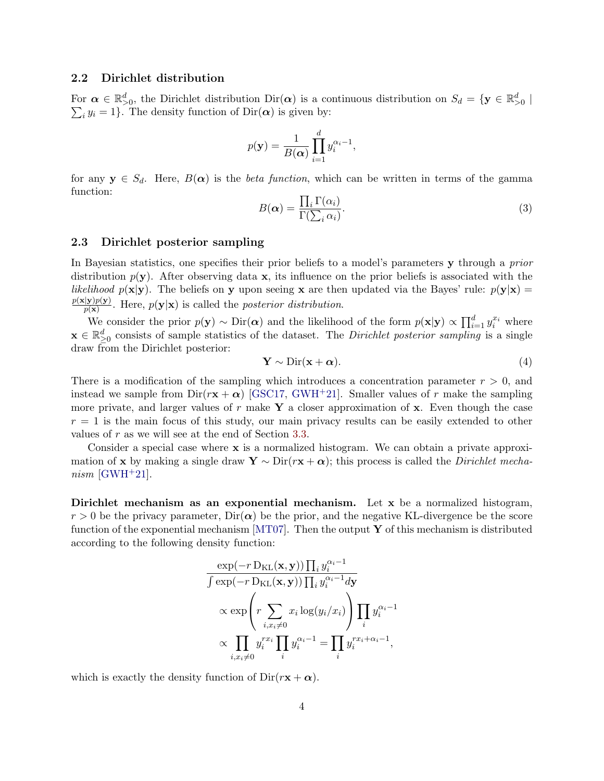#### 2.2 Dirichlet distribution

For  $\alpha \in \mathbb{R}^d_{>0}$ , the Dirichlet distribution  $\text{Dir}(\alpha)$  is a continuous distribution on  $S_d = \{ \mathbf{y} \in \mathbb{R}^d_{>0} \mid \mathbf{y} \in \mathbb{R}^d \}$  $\sum_i y_i = 1$ . The density function of  $\text{Dir}(\boldsymbol{\alpha})$  is given by:

$$
p(\mathbf{y}) = \frac{1}{B(\boldsymbol{\alpha})} \prod_{i=1}^{d} y_i^{\alpha_i - 1},
$$

for any  $y \in S_d$ . Here,  $B(\alpha)$  is the *beta function*, which can be written in terms of the gamma function:

$$
B(\alpha) = \frac{\prod_{i} \Gamma(\alpha_i)}{\Gamma(\sum_{i} \alpha_i)}.
$$
\n(3)

#### 2.3 Dirichlet posterior sampling

In Bayesian statistics, one specifies their prior beliefs to a model's parameters y through a prior distribution  $p(y)$ . After observing data x, its influence on the prior beliefs is associated with the *likelihood*  $p(x|y)$ . The beliefs on y upon seeing x are then updated via the Bayes' rule:  $p(y|x)$  $\frac{p(\mathbf{x}|\mathbf{y})p(\mathbf{y})}{p(\mathbf{x})}$ . Here,  $p(\mathbf{y}|\mathbf{x})$  is called the *posterior distribution*.  $p(\mathbf{x})$ 

We consider the prior  $p(\mathbf{y}) \sim \text{Dir}(\boldsymbol{\alpha})$  and the likelihood of the form  $p(\mathbf{x}|\mathbf{y}) \propto \prod_{i=1}^{d} y_i^{x_i}$  where  $\mathbf{x} \in \mathbb{R}_{\geq 0}^d$  consists of sample statistics of the dataset. The *Dirichlet posterior sampling* is a single draw from the Dirichlet posterior:

<span id="page-3-0"></span>
$$
\mathbf{Y} \sim \text{Dir}(\mathbf{x} + \boldsymbol{\alpha}).\tag{4}
$$

There is a modification of the sampling which introduces a concentration parameter  $r > 0$ , and instead we sample from  $Dir(r\mathbf{x} + \alpha)$  [\[GSC17,](#page-14-4) [GWH](#page-14-5)<sup>+</sup>21]. Smaller values of r make the sampling more private, and larger values of r make Y a closer approximation of  $x$ . Even though the case  $r = 1$  is the main focus of this study, our main privacy results can be easily extended to other values of r as we will see at the end of Section [3.3.](#page-6-1)

Consider a special case where  $x$  is a normalized histogram. We can obtain a private approximation of x by making a single draw  $\mathbf{Y} \sim \text{Dir}(\mathbf{r}\mathbf{x} + \boldsymbol{\alpha})$ ; this process is called the *Dirichlet mecha* $nism$  [\[GWH](#page-14-5)<sup>+</sup>21].

Dirichlet mechanism as an exponential mechanism. Let x be a normalized histogram,  $r > 0$  be the privacy parameter,  $\text{Dir}(\alpha)$  be the prior, and the negative KL-divergence be the score function of the exponential mechanism [\[MT07\]](#page-15-7). Then the output  $\bf{Y}$  of this mechanism is distributed according to the following density function:

$$
\frac{\exp(-r \operatorname{D}_{\text{KL}}(\mathbf{x}, \mathbf{y})) \prod_i y_i^{\alpha_i - 1}}{\int \exp(-r \operatorname{D}_{\text{KL}}(\mathbf{x}, \mathbf{y})) \prod_i y_i^{\alpha_i - 1} d\mathbf{y}} \propto \exp\left(r \sum_{i, x_i \neq 0} x_i \log(y_i / x_i)\right) \prod_i y_i^{\alpha_i - 1} \propto \prod_{i, x_i \neq 0} y_i^{x_i} \prod_i y_i^{\alpha_i - 1} = \prod_i y_i^{x_i + \alpha_i - 1},
$$

which is exactly the density function of  $Dir(r\mathbf{x} + \boldsymbol{\alpha})$ .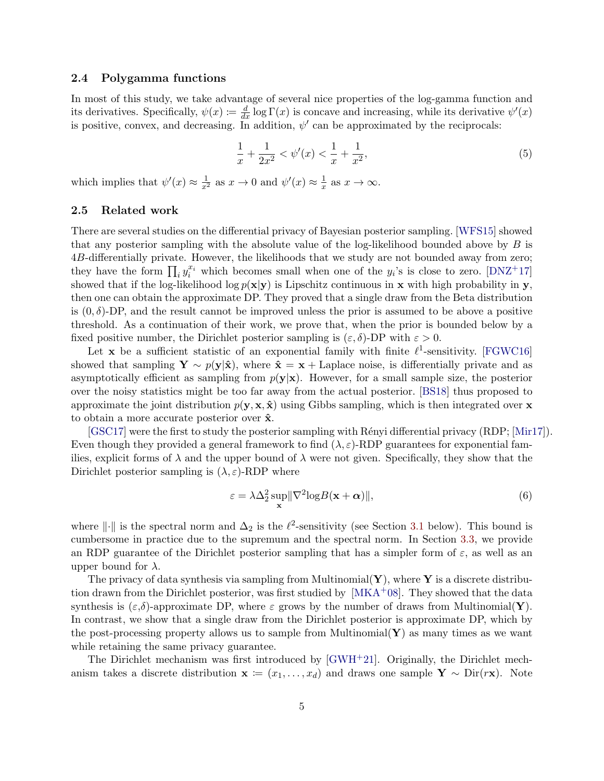#### 2.4 Polygamma functions

In most of this study, we take advantage of several nice properties of the log-gamma function and its derivatives. Specifically,  $\psi(x) \coloneqq \frac{d}{dx} \log \Gamma(x)$  is concave and increasing, while its derivative  $\psi'(x)$ is positive, convex, and decreasing. In addition,  $\psi'$  can be approximated by the reciprocals:

<span id="page-4-1"></span>
$$
\frac{1}{x} + \frac{1}{2x^2} < \psi'(x) < \frac{1}{x} + \frac{1}{x^2},\tag{5}
$$

which implies that  $\psi'(x) \approx \frac{1}{x^2}$  as  $x \to 0$  and  $\psi'(x) \approx \frac{1}{x}$  $\frac{1}{x}$  as  $x \to \infty$ .

#### 2.5 Related work

There are several studies on the differential privacy of Bayesian posterior sampling. [\[WFS15\]](#page-15-8) showed that any posterior sampling with the absolute value of the log-likelihood bounded above by  $B$  is 4B-differentially private. However, the likelihoods that we study are not bounded away from zero; they have the form  $\prod_i y_i^{x_i}$  which becomes small when one of the  $y_i$ 's is close to zero. [\[DNZ](#page-14-6)+17] showed that if the log-likelihood log  $p(x|y)$  is Lipschitz continuous in x with high probability in y, then one can obtain the approximate DP. They proved that a single draw from the Beta distribution is  $(0, \delta)$ -DP, and the result cannot be improved unless the prior is assumed to be above a positive threshold. As a continuation of their work, we prove that, when the prior is bounded below by a fixed positive number, the Dirichlet posterior sampling is  $(\varepsilon, \delta)$ -DP with  $\varepsilon > 0$ .

Let **x** be a sufficient statistic of an exponential family with finite  $\ell^1$ -sensitivity. [\[FGWC16\]](#page-14-7) showed that sampling  $\mathbf{Y} \sim p(\mathbf{y}|\hat{\mathbf{x}})$ , where  $\hat{\mathbf{x}} = \mathbf{x} + \text{Laplace noise}$ , is differentially private and as asymptotically efficient as sampling from  $p(y|x)$ . However, for a small sample size, the posterior over the noisy statistics might be too far away from the actual posterior. [\[BS18\]](#page-13-8) thus proposed to approximate the joint distribution  $p(\mathbf{y}, \mathbf{x}, \hat{\mathbf{x}})$  using Gibbs sampling, which is then integrated over **x** to obtain a more accurate posterior over  $\hat{\mathbf{x}}$ .

 $[GSC17]$  were the first to study the posterior sampling with Rényi differential privacy  $(RDP; [Mir17])$  $(RDP; [Mir17])$  $(RDP; [Mir17])$ . Even though they provided a general framework to find  $(\lambda, \varepsilon)$ -RDP guarantees for exponential families, explicit forms of  $\lambda$  and the upper bound of  $\lambda$  were not given. Specifically, they show that the Dirichlet posterior sampling is  $(\lambda, \varepsilon)$ -RDP where

<span id="page-4-0"></span>
$$
\varepsilon = \lambda \Delta_2^2 \sup_{\mathbf{x}} \|\nabla^2 \log B(\mathbf{x} + \boldsymbol{\alpha})\|,\tag{6}
$$

where  $\|\cdot\|$  is the spectral norm and  $\Delta_2$  is the  $\ell^2$ -sensitivity (see Section [3.1](#page-5-1) below). This bound is cumbersome in practice due to the supremum and the spectral norm. In Section [3.3,](#page-6-1) we provide an RDP guarantee of the Dirichlet posterior sampling that has a simpler form of  $\varepsilon$ , as well as an upper bound for  $\lambda$ .

The privacy of data synthesis via sampling from Multinomial( $\mathbf{Y}$ ), where  $\mathbf{Y}$  is a discrete distribution drawn from the Dirichlet posterior, was first studied by  $[MKA<sup>+</sup>08]$ . They showed that the data synthesis is  $(\varepsilon,\delta)$ -approximate DP, where  $\varepsilon$  grows by the number of draws from Multinomial(Y). In contrast, we show that a single draw from the Dirichlet posterior is approximate DP, which by the post-processing property allows us to sample from Multinomial $(Y)$  as many times as we want while retaining the same privacy guarantee.

The Dirichlet mechanism was first introduced by  $\text{GWH+21}$ . Originally, the Dirichlet mechanism takes a discrete distribution  $\mathbf{x} := (x_1, \ldots, x_d)$  and draws one sample  $\mathbf{Y} \sim \text{Dir}(r\mathbf{x})$ . Note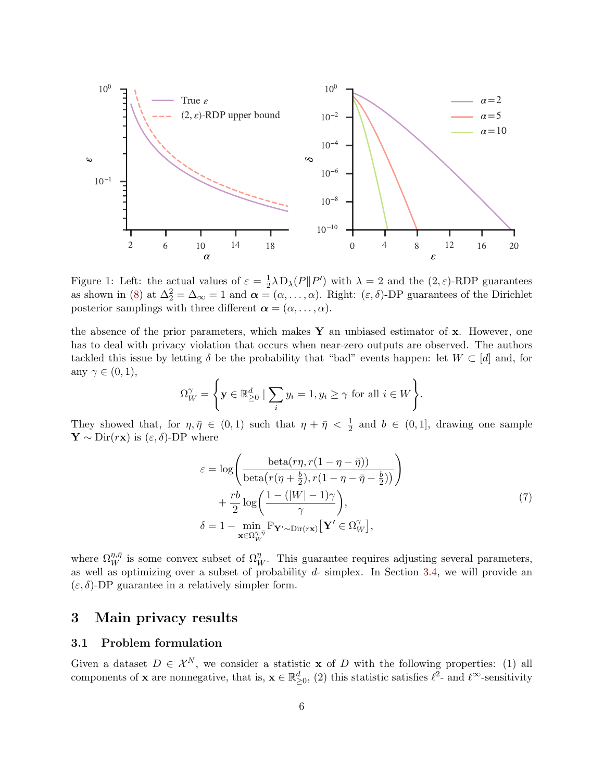

<span id="page-5-2"></span>Figure 1: Left: the actual values of  $\varepsilon = \frac{1}{2}$  $\frac{1}{2}\lambda \mathcal{D}_{\lambda}(P||P')$  with  $\lambda = 2$  and the  $(2,\varepsilon)$ -RDP guarantees as shown in [\(8\)](#page-6-2) at  $\Delta_2^2 = \Delta_{\infty} = 1$  and  $\alpha = (\alpha, \ldots, \alpha)$ . Right:  $(\varepsilon, \delta)$ -DP guarantees of the Dirichlet posterior samplings with three different  $\boldsymbol{\alpha} = (\alpha, \dots, \alpha)$ .

the absence of the prior parameters, which makes  $\bf{Y}$  an unbiased estimator of  $\bf{x}$ . However, one has to deal with privacy violation that occurs when near-zero outputs are observed. The authors tackled this issue by letting  $\delta$  be the probability that "bad" events happen: let  $W \subset [d]$  and, for any  $\gamma \in (0,1)$ ,

$$
\Omega_W^{\gamma} = \left\{ \mathbf{y} \in \mathbb{R}_{\geq 0}^d \mid \sum_i y_i = 1, y_i \geq \gamma \text{ for all } i \in W \right\}.
$$

They showed that, for  $\eta, \bar{\eta} \in (0, 1)$  such that  $\eta + \bar{\eta} < \frac{1}{2}$  and  $b \in (0, 1]$ , drawing one sample  $\mathbf{Y} \sim \text{Dir}(r\mathbf{x})$  is  $(\varepsilon, \delta)$ -DP where

$$
\varepsilon = \log \left( \frac{\det(\eta, r(1 - \eta - \bar{\eta}))}{\det(\eta + \frac{b}{2}), r(1 - \eta - \bar{\eta} - \frac{b}{2}))} \right) \n+ \frac{rb}{2} \log \left( \frac{1 - (|W| - 1)\gamma}{\gamma} \right), \n\delta = 1 - \min_{\mathbf{x} \in \Omega_{W}^{\eta, \bar{\eta}}} \mathbb{P}_{\mathbf{Y}' \sim \text{Dir}(\mathbf{r}\mathbf{x})} \left[ \mathbf{Y}' \in \Omega_{W}^{\gamma} \right],
$$
\n(7)

<span id="page-5-3"></span>where  $\Omega_W^{\eta,\bar{\eta}}$  is some convex subset of  $\Omega_W^{\eta}$ . This guarantee requires adjusting several parameters, as well as optimizing over a subset of probability  $d$ - simplex. In Section [3.4,](#page-8-1) we will provide an  $(\varepsilon, \delta)$ -DP guarantee in a relatively simpler form.

# <span id="page-5-0"></span>3 Main privacy results

#### <span id="page-5-1"></span>3.1 Problem formulation

Given a dataset  $D \in \mathcal{X}^N$ , we consider a statistic **x** of D with the following properties: (1) all components of **x** are nonnegative, that is,  $\mathbf{x} \in \mathbb{R}^d_{\geq 0}$ , (2) this statistic satisfies  $\ell^2$ - and  $\ell^{\infty}$ -sensitivity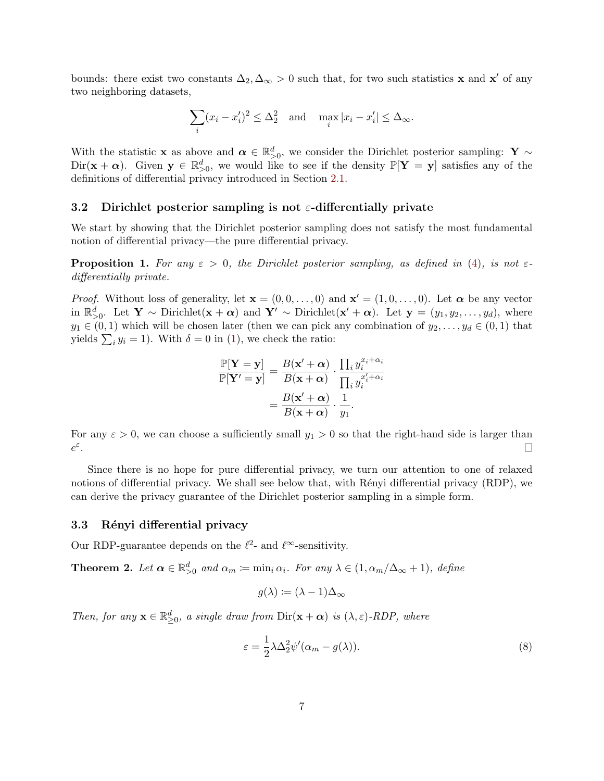bounds: there exist two constants  $\Delta_2, \Delta_\infty > 0$  such that, for two such statistics **x** and **x'** of any two neighboring datasets,

$$
\sum_{i} (x_i - x_i')^2 \le \Delta_2^2 \quad \text{and} \quad \max_i |x_i - x_i'| \le \Delta_\infty.
$$

With the statistic **x** as above and  $\alpha \in \mathbb{R}^d_{>0}$ , we consider the Dirichlet posterior sampling: **Y** ∼  $Dir(\mathbf{x} + \alpha)$ . Given  $\mathbf{y} \in \mathbb{R}_{>0}^d$ , we would like to see if the density  $\mathbb{P}[\mathbf{Y} = \mathbf{y}]$  satisfies any of the definitions of differential privacy introduced in Section [2.1.](#page-2-0)

#### 3.2 Dirichlet posterior sampling is not  $\varepsilon$ -differentially private

We start by showing that the Dirichlet posterior sampling does not satisfy the most fundamental notion of differential privacy—the pure differential privacy.

**Proposition 1.** For any  $\varepsilon > 0$ , the Dirichlet posterior sampling, as defined in [\(4\)](#page-3-0), is not  $\varepsilon$ differentially private.

*Proof.* Without loss of generality, let  $\mathbf{x} = (0, 0, \dots, 0)$  and  $\mathbf{x}' = (1, 0, \dots, 0)$ . Let  $\boldsymbol{\alpha}$  be any vector in  $\mathbb{R}_{>0}^d$ . Let Y ~ Dirichlet( $\mathbf{x} + \boldsymbol{\alpha}$ ) and Y' ~ Dirichlet( $\mathbf{x}' + \boldsymbol{\alpha}$ ). Let  $\mathbf{y} = (y_1, y_2, \dots, y_d)$ , where  $y_1 \in (0,1)$  which will be chosen later (then we can pick any combination of  $y_2, \ldots, y_d \in (0,1)$  that yields  $\sum_i y_i = 1$ ). With  $\delta = 0$  in [\(1\)](#page-2-1), we check the ratio:

$$
\frac{\mathbb{P}[\mathbf{Y} = \mathbf{y}]}{\mathbb{P}[\mathbf{Y}' = \mathbf{y}]} = \frac{B(\mathbf{x}' + \boldsymbol{\alpha})}{B(\mathbf{x} + \boldsymbol{\alpha})} \cdot \frac{\prod_i y_i^{x_i + \alpha_i}}{\prod_i y_i^{x'_i + \alpha_i}}
$$

$$
= \frac{B(\mathbf{x}' + \boldsymbol{\alpha})}{B(\mathbf{x} + \boldsymbol{\alpha})} \cdot \frac{1}{y_1}.
$$

For any  $\varepsilon > 0$ , we can choose a sufficiently small  $y_1 > 0$  so that the right-hand side is larger than  $e^{\varepsilon}$ . □

Since there is no hope for pure differential privacy, we turn our attention to one of relaxed notions of differential privacy. We shall see below that, with Rényi differential privacy (RDP), we can derive the privacy guarantee of the Dirichlet posterior sampling in a simple form.

#### <span id="page-6-1"></span>3.3 Rényi differential privacy

Our RDP-guarantee depends on the  $\ell^2$ - and  $\ell^{\infty}$ -sensitivity.

<span id="page-6-0"></span>**Theorem 2.** Let  $\boldsymbol{\alpha} \in \mathbb{R}_{>0}^d$  and  $\alpha_m \coloneqq \min_i \alpha_i$ . For any  $\lambda \in (1, \alpha_m/\Delta_{\infty} + 1)$ , define

$$
g(\lambda) \coloneqq (\lambda - 1)\Delta_{\infty}
$$

Then, for any  $\mathbf{x} \in \mathbb{R}_{\geq 0}^d$ , a single draw from  $\text{Dir}(\mathbf{x} + \boldsymbol{\alpha})$  is  $(\lambda, \varepsilon)$ -RDP, where

<span id="page-6-2"></span>
$$
\varepsilon = \frac{1}{2} \lambda \Delta_2^2 \psi'(\alpha_m - g(\lambda)).
$$
\n(8)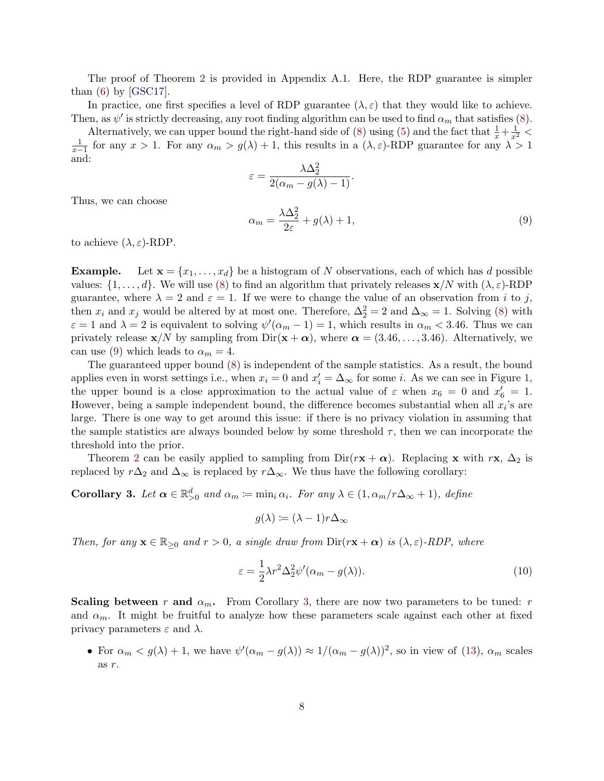The proof of Theorem [2](#page-6-0) is provided in Appendix A.1. Here, the RDP guarantee is simpler than  $(6)$  by [\[GSC17\]](#page-14-4).

In practice, one first specifies a level of RDP guarantee  $(\lambda, \varepsilon)$  that they would like to achieve. Then, as  $\psi'$  is strictly decreasing, any root finding algorithm can be used to find  $\alpha_m$  that satisfies [\(8\)](#page-6-2).

Alternatively, we can upper bound the right-hand side of [\(8\)](#page-6-2) using [\(5\)](#page-4-1) and the fact that  $\frac{1}{x} + \frac{1}{x^2} < \frac{1}{x-1}$  for any  $x > 1$ . For any  $\alpha_m > g(\lambda) + 1$ , this results in a  $(\lambda, \varepsilon)$ -RDP guarantee for any  $\lambda > 1$ and:

$$
\varepsilon = \frac{\lambda \Delta_2^2}{2(\alpha_m - g(\lambda) - 1)}.
$$

Thus, we can choose

<span id="page-7-0"></span>
$$
\alpha_m = \frac{\lambda \Delta_2^2}{2\varepsilon} + g(\lambda) + 1,\tag{9}
$$

to achieve  $(\lambda, \varepsilon)$ -RDP.

**Example.** Let  $\mathbf{x} = \{x_1, \ldots, x_d\}$  be a histogram of N observations, each of which has d possible values:  $\{1,\ldots,d\}$ . We will use [\(8\)](#page-6-2) to find an algorithm that privately releases  $\mathbf{x}/N$  with  $(\lambda,\varepsilon)$ -RDP guarantee, where  $\lambda = 2$  and  $\varepsilon = 1$ . If we were to change the value of an observation from i to j, then  $x_i$  and  $x_j$  would be altered by at most one. Therefore,  $\Delta_2^2 = 2$  and  $\Delta_{\infty} = 1$ . Solving [\(8\)](#page-6-2) with  $\varepsilon = 1$  and  $\lambda = 2$  is equivalent to solving  $\psi'(\alpha_m - 1) = 1$ , which results in  $\alpha_m < 3.46$ . Thus we can privately release  $\mathbf{x}/N$  by sampling from Dir( $\mathbf{x} + \alpha$ ), where  $\alpha = (3.46, \ldots, 3.46)$ . Alternatively, we can use [\(9\)](#page-7-0) which leads to  $\alpha_m = 4$ .

The guaranteed upper bound [\(8\)](#page-6-2) is independent of the sample statistics. As a result, the bound applies even in worst settings i.e., when  $x_i = 0$  and  $x'_i = \Delta_{\infty}$  for some *i*. As we can see in Figure [1,](#page-5-2) the upper bound is a close approximation to the actual value of  $\varepsilon$  when  $x_6 = 0$  and  $x'_6 = 1$ . However, being a sample independent bound, the difference becomes substantial when all  $x_i$ 's are large. There is one way to get around this issue: if there is no privacy violation in assuming that the sample statistics are always bounded below by some threshold  $\tau$ , then we can incorporate the threshold into the prior.

Theorem [2](#page-6-0) can be easily applied to sampling from  $Dir(r**x** + \alpha)$ . Replacing x with rx,  $\Delta_2$  is replaced by  $r\Delta_2$  and  $\Delta_{\infty}$  is replaced by  $r\Delta_{\infty}$ . We thus have the following corollary:

<span id="page-7-1"></span>Corollary 3. Let  $\boldsymbol{\alpha} \in \mathbb{R}_{>0}^d$  and  $\alpha_m \coloneqq \min_i \alpha_i$ . For any  $\lambda \in (1, \alpha_m/r\Delta_{\infty} + 1)$ , define

 $g(\lambda) := (\lambda - 1)r\Delta_{\infty}$ 

Then, for any  $\mathbf{x} \in \mathbb{R}_{\geq 0}$  and  $r > 0$ , a single draw from  $\text{Dir}(\mathbf{r}\mathbf{x} + \boldsymbol{\alpha})$  is  $(\lambda, \varepsilon)$ -RDP, where

$$
\varepsilon = \frac{1}{2}\lambda r^2 \Delta_2^2 \psi'(\alpha_m - g(\lambda)).\tag{10}
$$

Scaling between r and  $\alpha_m$ . From Corollary [3,](#page-7-1) there are now two parameters to be tuned: r and  $\alpha_m$ . It might be fruitful to analyze how these parameters scale against each other at fixed privacy parameters  $\varepsilon$  and  $\lambda$ .

• For  $\alpha_m < g(\lambda) + 1$ , we have  $\psi'(\alpha_m - g(\lambda)) \approx 1/(\alpha_m - g(\lambda))^2$ , so in view of [\(13\)](#page-8-2),  $\alpha_m$  scales as r.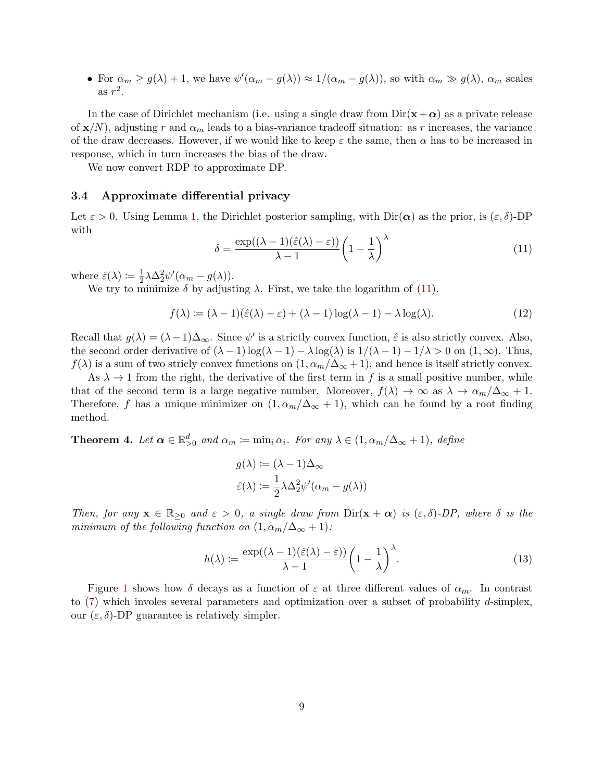• For  $\alpha_m \geq g(\lambda) + 1$ , we have  $\psi'(\alpha_m - g(\lambda)) \approx 1/(\alpha_m - g(\lambda))$ , so with  $\alpha_m \gg g(\lambda)$ ,  $\alpha_m$  scales as  $r^2$ .

In the case of Dirichlet mechanism (i.e. using a single draw from  $\text{Dir}(\mathbf{x}+\boldsymbol{\alpha})$  as a private release of  $\mathbf{x}/N$ , adjusting r and  $\alpha_m$  leads to a bias-variance tradeoff situation: as r increases, the variance of the draw decreases. However, if we would like to keep  $\varepsilon$  the same, then  $\alpha$  has to be increased in response, which in turn increases the bias of the draw.

We now convert RDP to approximate DP.

#### <span id="page-8-1"></span>3.4 Approximate differential privacy

Let  $\varepsilon > 0$ . Using Lemma [1,](#page-2-2) the Dirichlet posterior sampling, with  $\text{Dir}(\alpha)$  as the prior, is  $(\varepsilon, \delta)$ -DP with

<span id="page-8-3"></span>
$$
\delta = \frac{\exp((\lambda - 1)(\hat{\varepsilon}(\lambda) - \varepsilon))}{\lambda - 1} \left(1 - \frac{1}{\lambda}\right)^{\lambda} \tag{11}
$$

where  $\hat{\varepsilon}(\lambda) \coloneqq \frac{1}{2}$  $\frac{1}{2}\lambda\Delta_2^2\psi'(\alpha_m-g(\lambda)).$ 

We try to minimize  $\delta$  by adjusting  $\lambda$ . First, we take the logarithm of [\(11\)](#page-8-3).

$$
f(\lambda) := (\lambda - 1)(\hat{\varepsilon}(\lambda) - \varepsilon) + (\lambda - 1)\log(\lambda - 1) - \lambda \log(\lambda).
$$
 (12)

Recall that  $g(\lambda) = (\lambda - 1)\Delta_{\infty}$ . Since  $\psi'$  is a strictly convex function,  $\hat{\varepsilon}$  is also strictly convex. Also, the second order derivative of  $(\lambda - 1) \log(\lambda - 1) - \lambda \log(\lambda)$  is  $1/(\lambda - 1) - 1/\lambda > 0$  on  $(1, \infty)$ . Thus,  $f(\lambda)$  is a sum of two stricly convex functions on  $(1, \alpha_m/\Delta_{\infty} + 1)$ , and hence is itself strictly convex.

As  $\lambda \to 1$  from the right, the derivative of the first term in f is a small positive number, while that of the second term is a large negative number. Moreover,  $f(\lambda) \to \infty$  as  $\lambda \to \alpha_m/\Delta_{\infty} + 1$ . Therefore, f has a unique minimizer on  $(1, \alpha_m/\Delta_{\infty} + 1)$ , which can be found by a root finding method.

<span id="page-8-0"></span>**Theorem 4.** Let  $\boldsymbol{\alpha} \in \mathbb{R}_{>0}^d$  and  $\alpha_m \coloneqq \min_i \alpha_i$ . For any  $\lambda \in (1, \alpha_m/\Delta_{\infty} + 1)$ , define

$$
g(\lambda) := (\lambda - 1)\Delta_{\infty}
$$

$$
\hat{\varepsilon}(\lambda) := \frac{1}{2}\lambda \Delta_2^2 \psi'(\alpha_m - g(\lambda))
$$

Then, for any  $\mathbf{x} \in \mathbb{R}_{>0}$  and  $\varepsilon > 0$ , a single draw from  $\text{Dir}(\mathbf{x} + \boldsymbol{\alpha})$  is  $(\varepsilon, \delta)$ -DP, where  $\delta$  is the minimum of the following function on  $(1, \alpha_m/\Delta_{\infty} + 1)$ :

<span id="page-8-2"></span>
$$
h(\lambda) := \frac{\exp((\lambda - 1)(\hat{\varepsilon}(\lambda) - \varepsilon))}{\lambda - 1} \left(1 - \frac{1}{\lambda}\right)^{\lambda}.
$$
 (13)

Figure [1](#page-5-2) shows how δ decays as a function of  $\varepsilon$  at three different values of  $\alpha_m$ . In contrast to  $(7)$  which involes several parameters and optimization over a subset of probability d-simplex, our  $(\varepsilon, \delta)$ -DP guarantee is relatively simpler.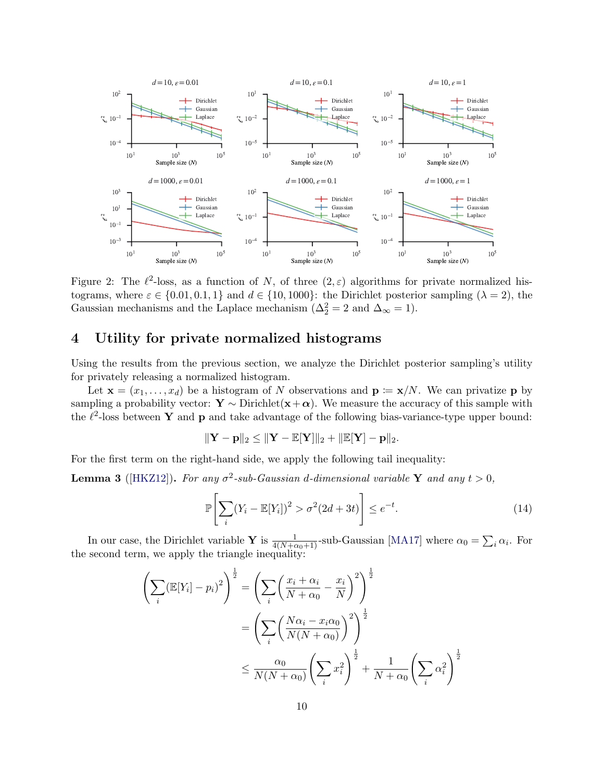

<span id="page-9-2"></span>Figure 2: The  $\ell^2$ -loss, as a function of N, of three  $(2,\varepsilon)$  algorithms for private normalized histograms, where  $\varepsilon \in \{0.01, 0.1, 1\}$  and  $d \in \{10, 1000\}$ : the Dirichlet posterior sampling  $(\lambda = 2)$ , the Gaussian mechanisms and the Laplace mechanism ( $\Delta_2^2 = 2$  and  $\Delta_{\infty} = 1$ ).

# <span id="page-9-0"></span>4 Utility for private normalized histograms

Using the results from the previous section, we analyze the Dirichlet posterior sampling's utility for privately releasing a normalized histogram.

Let  $\mathbf{x} = (x_1, \ldots, x_d)$  be a histogram of N observations and  $\mathbf{p} := \mathbf{x}/N$ . We can privatize p by sampling a probability vector:  $\mathbf{Y} \sim \text{Dirichlet}(\mathbf{x}+\boldsymbol{\alpha})$ . We measure the accuracy of this sample with the  $\ell^2$ -loss between Y and p and take advantage of the following bias-variance-type upper bound:

$$
\|\mathbf{Y}-\mathbf{p}\|_2 \leq \|\mathbf{Y}-\mathbb{E}[\mathbf{Y}]\|_2 + \|\mathbb{E}[\mathbf{Y}]-\mathbf{p}\|_2.
$$

For the first term on the right-hand side, we apply the following tail inequality:

**Lemma 3** ([\[HKZ12\]](#page-14-9)). For any  $\sigma^2$ -sub-Gaussian d-dimensional variable Y and any  $t > 0$ ,

<span id="page-9-1"></span>
$$
\mathbb{P}\left[\sum_{i}(Y_i - \mathbb{E}[Y_i])^2 > \sigma^2(2d+3t)\right] \le e^{-t}.\tag{14}
$$

In our case, the Dirichlet variable Y is  $\frac{1}{4(N+\alpha_0+1)}$ -sub-Gaussian [\[MA17\]](#page-14-10) where  $\alpha_0 = \sum_i \alpha_i$ . For the second term, we apply the triangle inequality:

$$
\left(\sum_{i} (\mathbb{E}[Y_i] - p_i)^2\right)^{\frac{1}{2}} = \left(\sum_{i} \left(\frac{x_i + \alpha_i}{N + \alpha_0} - \frac{x_i}{N}\right)^2\right)^{\frac{1}{2}}
$$

$$
= \left(\sum_{i} \left(\frac{N\alpha_i - x_i\alpha_0}{N(N + \alpha_0)}\right)^2\right)^{\frac{1}{2}}
$$

$$
\leq \frac{\alpha_0}{N(N + \alpha_0)} \left(\sum_{i} x_i^2\right)^{\frac{1}{2}} + \frac{1}{N + \alpha_0} \left(\sum_{i} \alpha_i^2\right)^{\frac{1}{2}}
$$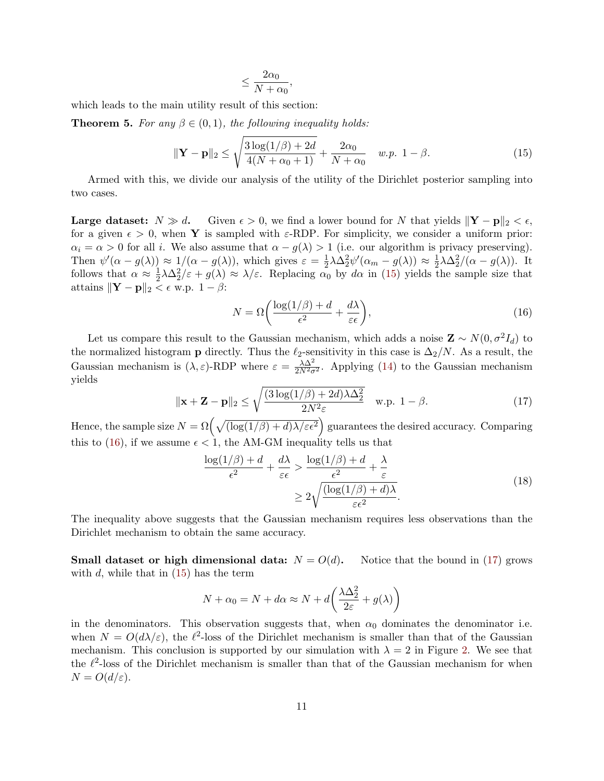$$
\leq \frac{2\alpha_0}{N+\alpha_0}
$$

,

which leads to the main utility result of this section:

**Theorem 5.** For any  $\beta \in (0,1)$ , the following inequality holds:

<span id="page-10-0"></span>
$$
\|\mathbf{Y} - \mathbf{p}\|_{2} \le \sqrt{\frac{3\log(1/\beta) + 2d}{4(N + \alpha_{0} + 1)}} + \frac{2\alpha_{0}}{N + \alpha_{0}} \quad w.p. \ 1 - \beta.
$$
 (15)

Armed with this, we divide our analysis of the utility of the Dirichlet posterior sampling into two cases.

**Large dataset:**  $N \gg d$ . Given  $\epsilon > 0$ , we find a lower bound for N that yields  $\|\mathbf{Y} - \mathbf{p}\|_2 < \epsilon$ , for a given  $\epsilon > 0$ , when Y is sampled with  $\varepsilon$ -RDP. For simplicity, we consider a uniform prior:  $\alpha_i = \alpha > 0$  for all i. We also assume that  $\alpha - g(\lambda) > 1$  (i.e. our algorithm is privacy preserving). Then  $\psi'(\alpha - g(\lambda)) \approx 1/(\alpha - g(\lambda))$ , which gives  $\varepsilon = \frac{1}{2}$  $\frac{1}{2}\lambda\Delta_2^2\psi'(\alpha_m-g(\lambda))\approx \frac{1}{2}$  $\frac{1}{2}\lambda\Delta_2^2/(\alpha - g(\lambda)).$  It follows that  $\alpha \approx \frac{1}{2}$  $\frac{1}{2}\lambda\Delta_2^2/\varepsilon + g(\lambda) \approx \lambda/\varepsilon$ . Replacing  $\alpha_0$  by  $d\alpha$  in [\(15\)](#page-10-0) yields the sample size that attains  $\|\mathbf{Y} - \mathbf{p}\|_2 < \epsilon$  w.p.  $1 - \beta$ :

<span id="page-10-1"></span>
$$
N = \Omega \left( \frac{\log(1/\beta) + d}{\epsilon^2} + \frac{d\lambda}{\varepsilon \epsilon} \right),\tag{16}
$$

Let us compare this result to the Gaussian mechanism, which adds a noise  $\mathbf{Z} \sim N(0, \sigma^2 I_d)$  to the normalized histogram **p** directly. Thus the  $\ell_2$ -sensitivity in this case is  $\Delta_2/N$ . As a result, the Gaussian mechanism is  $(\lambda, \varepsilon)$ -RDP where  $\varepsilon = \frac{\lambda \Delta^2}{2N^2 \sigma^2}$ . Applying [\(14\)](#page-9-1) to the Gaussian mechanism yields

<span id="page-10-2"></span>
$$
\|\mathbf{x} + \mathbf{Z} - \mathbf{p}\|_2 \le \sqrt{\frac{(3\log(1/\beta) + 2d)\lambda\Delta_2^2}{2N^2\varepsilon}} \quad \text{w.p. } 1 - \beta.
$$
 (17)

Hence, the sample size  $N = \Omega\left(\sqrt{(\log(1/\beta) + d)\lambda/\varepsilon\epsilon^2}\right)$  guarantees the desired accuracy. Comparing this to [\(16\)](#page-10-1), if we assume  $\epsilon < 1$ , the AM-GM inequality tells us that

$$
\frac{\log(1/\beta) + d}{\epsilon^2} + \frac{d\lambda}{\epsilon \epsilon} > \frac{\log(1/\beta) + d}{\epsilon^2} + \frac{\lambda}{\epsilon}
$$
\n
$$
\geq 2\sqrt{\frac{(\log(1/\beta) + d)\lambda}{\epsilon \epsilon^2}}.
$$
\n(18)

The inequality above suggests that the Gaussian mechanism requires less observations than the Dirichlet mechanism to obtain the same accuracy.

**Small dataset or high dimensional data:**  $N = O(d)$ . Notice that the bound in [\(17\)](#page-10-2) grows with  $d$ , while that in  $(15)$  has the term

$$
N + \alpha_0 = N + d\alpha \approx N + d\left(\frac{\lambda \Delta_2^2}{2\varepsilon} + g(\lambda)\right)
$$

in the denominators. This observation suggests that, when  $\alpha_0$  dominates the denominator i.e. when  $N = O(d\lambda/\varepsilon)$ , the  $\ell^2$ -loss of the Dirichlet mechanism is smaller than that of the Gaussian mechanism. This conclusion is supported by our simulation with  $\lambda = 2$  in Figure [2.](#page-9-2) We see that the  $\ell^2$ -loss of the Dirichlet mechanism is smaller than that of the Gaussian mechanism for when  $N = O(d/\varepsilon)$ .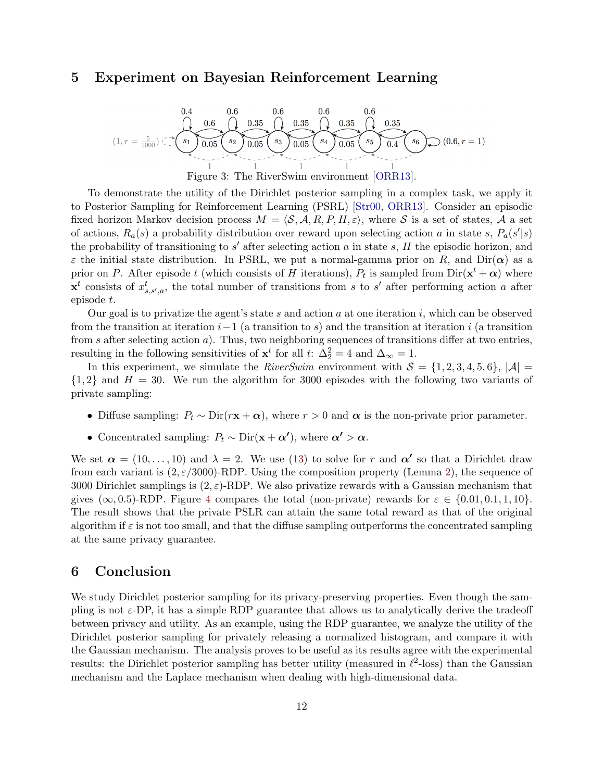# <span id="page-11-0"></span>5 Experiment on Bayesian Reinforcement Learning

$$
(1, r = \frac{5}{1000}) \underbrace{0.4}_{\begin{array}{l}\text{1}\\\text{1}\\\text{2}\\\text{3}\end{array}}\n\underbrace{0.6}_{\begin{array}{l}\text{1}\\\text{2}\\\text{2}\\\text{3}\end{array}}\n\underbrace{0.6}_{\begin{array}{l}\text{0.35}\\\text{0.35}\\\text{0.05}\\\text{0.05}\\\text{0.05}\\\text{0.05}\\\text{0.05}\\\text{0.05}\\\text{0.05}\\\text{0.05}\\\text{0.05}\\\text{0.05}\\\text{0.05}\\\text{0.05}\\\text{0.05}\\\text{0.05}\\\text{0.05}\\\text{0.05}\\\text{0.05}\\\text{0.05}\\\text{0.05}\\\text{0.05}\\\text{0.05}\\\text{0.05}\\\text{0.05}\\\text{0.05}\\\text{0.05}\\\text{0.05}\\\text{0.05}\\\text{0.05}\\\text{0.05}\\\text{0.05}\\\text{0.05}\\\text{0.05}\\\text{0.05}\\\text{0.05}\\\text{0.05}\\\text{0.05}\\\text{0.05}\\\text{0.05}\\\text{0.05}\\\text{0.05}\\\text{0.05}\\\text{0.05}\\\text{0.05}\\\text{0.05}\\\text{0.05}\\\text{0.05}\\\text{0.05}\\\text{0.05}\\\text{0.05}\\\text{0.05}\\\text{0.05}\\\text{0.05}\\\text{0.05}\\\text{0.05}\\\text{0.05}\\\text{0.05}\\\text{0.05}\\\text{0.05}\\\text{0.05}\\\text{0.05}\\\text{0.05}\\\text{0.05}\\\text{0.05}\\\text{0.05}\\\text{0.05}\\\text{0.05}\\\text{0.05}\\\text{0.05}\\\text{0.05}\\\text{0.05}\\\text{0.05}\\\text{0.05}\\\text{0.05}\\\text{0.05}\\\text{0.05}\\\text{0.05}\\\text{0.05}\\\text{0.05}\\\text{0.05}\\\text{
$$

Figure 3: The RiverSwim environment [\[ORR13\]](#page-15-5).

To demonstrate the utility of the Dirichlet posterior sampling in a complex task, we apply it to Posterior Sampling for Reinforcement Learning (PSRL) [\[Str00,](#page-15-4) [ORR13\]](#page-15-5). Consider an episodic fixed horizon Markov decision process  $M = \langle S, A, R, P, H, \varepsilon \rangle$ , where S is a set of states, A a set of actions,  $R_a(s)$  a probability distribution over reward upon selecting action a in state s,  $P_a(s'|s)$ the probability of transitioning to  $s'$  after selecting action  $a$  in state  $s$ ,  $H$  the episodic horizon, and  $\varepsilon$  the initial state distribution. In PSRL, we put a normal-gamma prior on R, and Dir( $\alpha$ ) as a prior on P. After episode t (which consists of H iterations),  $P_t$  is sampled from  $\text{Dir}(\mathbf{x}^t + \boldsymbol{\alpha})$  where  $\mathbf{x}^t$  consists of  $x_{s,s',a}^t$ , the total number of transitions from s to s' after performing action a after episode t.

Our goal is to privatize the agent's state s and action a at one iteration  $i$ , which can be observed from the transition at iteration  $i-1$  (a transition to s) and the transition at iteration i (a transition from s after selecting action a). Thus, two neighboring sequences of transitions differ at two entries, resulting in the following sensitivities of  $x^t$  for all t:  $\Delta_2^2 = 4$  and  $\Delta_{\infty} = 1$ .

In this experiment, we simulate the RiverSwim environment with  $S = \{1, 2, 3, 4, 5, 6\}, |\mathcal{A}| =$  $\{1, 2\}$  and  $H = 30$ . We run the algorithm for 3000 episodes with the following two variants of private sampling:

- Diffuse sampling:  $P_t \sim \text{Dir}(r\mathbf{x} + \alpha)$ , where  $r > 0$  and  $\alpha$  is the non-private prior parameter.
- Concentrated sampling:  $P_t \sim \text{Dir}(\mathbf{x} + \alpha')$ , where  $\alpha' > \alpha$ .

We set  $\alpha = (10, \ldots, 10)$  and  $\lambda = 2$ . We use [\(13\)](#page-8-2) to solve for r and  $\alpha'$  so that a Dirichlet draw from each variant is  $(2, \varepsilon/3000)$ -RDP. Using the composition property (Lemma [2\)](#page-2-3), the sequence of 3000 Dirichlet samplings is  $(2, \varepsilon)$ -RDP. We also privatize rewards with a Gaussian mechanism that gives ( $\infty$ , 0.5)-RDP. Figure [4](#page-12-0) compares the total (non-private) rewards for  $\varepsilon \in \{0.01, 0.1, 1, 10\}$ . The result shows that the private PSLR can attain the same total reward as that of the original algorithm if  $\varepsilon$  is not too small, and that the diffuse sampling outperforms the concentrated sampling at the same privacy guarantee.

## 6 Conclusion

We study Dirichlet posterior sampling for its privacy-preserving properties. Even though the sampling is not  $\varepsilon$ -DP, it has a simple RDP guarantee that allows us to analytically derive the tradeoff between privacy and utility. As an example, using the RDP guarantee, we analyze the utility of the Dirichlet posterior sampling for privately releasing a normalized histogram, and compare it with the Gaussian mechanism. The analysis proves to be useful as its results agree with the experimental results: the Dirichlet posterior sampling has better utility (measured in  $\ell^2$ -loss) than the Gaussian mechanism and the Laplace mechanism when dealing with high-dimensional data.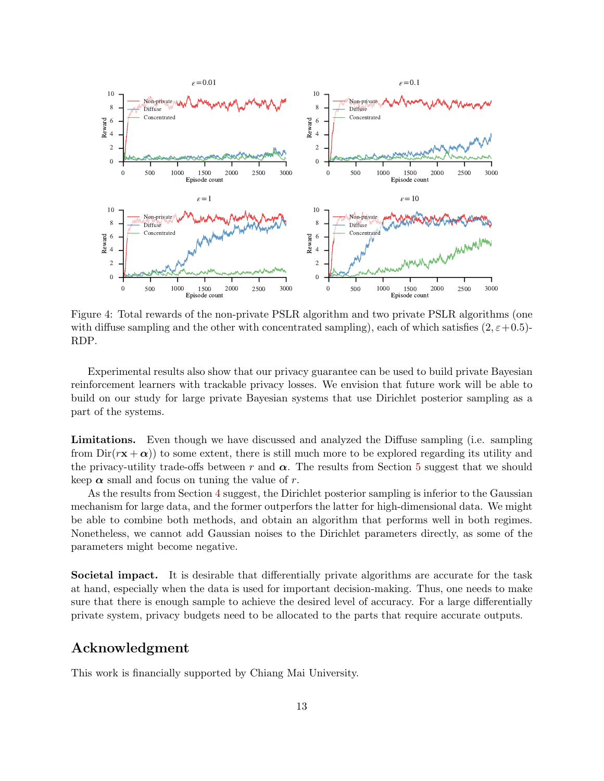

<span id="page-12-0"></span>Figure 4: Total rewards of the non-private PSLR algorithm and two private PSLR algorithms (one with diffuse sampling and the other with concentrated sampling), each of which satisfies  $(2, \varepsilon+0.5)$ -RDP.

Experimental results also show that our privacy guarantee can be used to build private Bayesian reinforcement learners with trackable privacy losses. We envision that future work will be able to build on our study for large private Bayesian systems that use Dirichlet posterior sampling as a part of the systems.

Limitations. Even though we have discussed and analyzed the Diffuse sampling (i.e. sampling from  $Dir(r\mathbf{x} + \alpha)$  to some extent, there is still much more to be explored regarding its utility and the privacy-utility trade-offs between r and  $\alpha$ . The results from Section [5](#page-11-0) suggest that we should keep  $\alpha$  small and focus on tuning the value of r.

As the results from Section [4](#page-9-0) suggest, the Dirichlet posterior sampling is inferior to the Gaussian mechanism for large data, and the former outperfors the latter for high-dimensional data. We might be able to combine both methods, and obtain an algorithm that performs well in both regimes. Nonetheless, we cannot add Gaussian noises to the Dirichlet parameters directly, as some of the parameters might become negative.

Societal impact. It is desirable that differentially private algorithms are accurate for the task at hand, especially when the data is used for important decision-making. Thus, one needs to make sure that there is enough sample to achieve the desired level of accuracy. For a large differentially private system, privacy budgets need to be allocated to the parts that require accurate outputs.

### Acknowledgment

This work is financially supported by Chiang Mai University.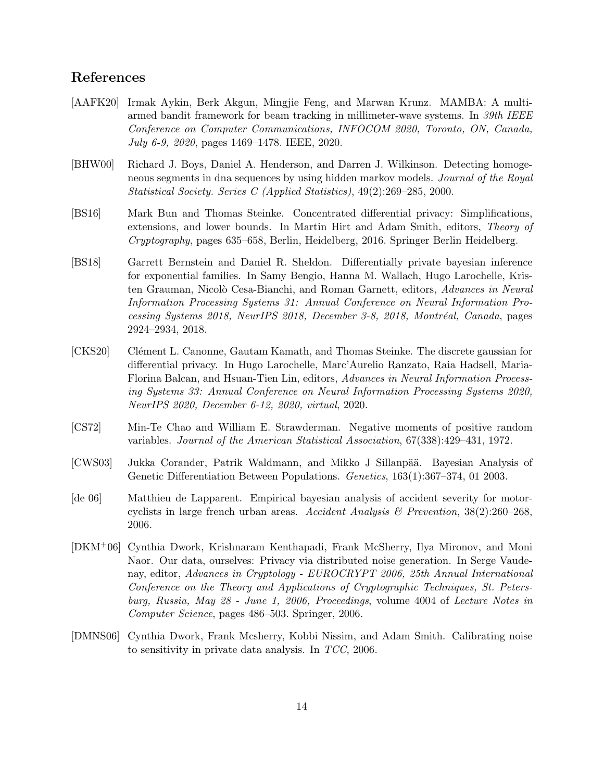# References

- <span id="page-13-3"></span>[AAFK20] Irmak Aykin, Berk Akgun, Mingjie Feng, and Marwan Krunz. MAMBA: A multiarmed bandit framework for beam tracking in millimeter-wave systems. In 39th IEEE Conference on Computer Communications, INFOCOM 2020, Toronto, ON, Canada, July 6-9, 2020, pages 1469–1478. IEEE, 2020.
- <span id="page-13-1"></span>[BHW00] Richard J. Boys, Daniel A. Henderson, and Darren J. Wilkinson. Detecting homogeneous segments in dna sequences by using hidden markov models. Journal of the Royal Statistical Society. Series C (Applied Statistics), 49(2):269–285, 2000.
- <span id="page-13-6"></span>[BS16] Mark Bun and Thomas Steinke. Concentrated differential privacy: Simplifications, extensions, and lower bounds. In Martin Hirt and Adam Smith, editors, Theory of Cryptography, pages 635–658, Berlin, Heidelberg, 2016. Springer Berlin Heidelberg.
- <span id="page-13-8"></span>[BS18] Garrett Bernstein and Daniel R. Sheldon. Differentially private bayesian inference for exponential families. In Samy Bengio, Hanna M. Wallach, Hugo Larochelle, Kristen Grauman, Nicolò Cesa-Bianchi, and Roman Garnett, editors, Advances in Neural Information Processing Systems 31: Annual Conference on Neural Information Processing Systems 2018, NeurIPS 2018, December 3-8, 2018, Montréal, Canada, pages 2924–2934, 2018.
- <span id="page-13-7"></span>[CKS20] Clément L. Canonne, Gautam Kamath, and Thomas Steinke. The discrete gaussian for differential privacy. In Hugo Larochelle, Marc'Aurelio Ranzato, Raia Hadsell, Maria-Florina Balcan, and Hsuan-Tien Lin, editors, Advances in Neural Information Processing Systems 33: Annual Conference on Neural Information Processing Systems 2020, NeurIPS 2020, December 6-12, 2020, virtual, 2020.
- <span id="page-13-9"></span>[CS72] Min-Te Chao and William E. Strawderman. Negative moments of positive random variables. Journal of the American Statistical Association, 67(338):429–431, 1972.
- <span id="page-13-2"></span>[CWS03] Jukka Corander, Patrik Waldmann, and Mikko J Sillanpää. Bayesian Analysis of Genetic Differentiation Between Populations. Genetics, 163(1):367–374, 01 2003.
- <span id="page-13-0"></span>[de 06] Matthieu de Lapparent. Empirical bayesian analysis of accident severity for motorcyclists in large french urban areas. Accident Analysis & Prevention,  $38(2):260-268$ , 2006.
- <span id="page-13-4"></span>[DKM+06] Cynthia Dwork, Krishnaram Kenthapadi, Frank McSherry, Ilya Mironov, and Moni Naor. Our data, ourselves: Privacy via distributed noise generation. In Serge Vaudenay, editor, Advances in Cryptology - EUROCRYPT 2006, 25th Annual International Conference on the Theory and Applications of Cryptographic Techniques, St. Petersburg, Russia, May 28 - June 1, 2006, Proceedings, volume 4004 of Lecture Notes in Computer Science, pages 486–503. Springer, 2006.
- <span id="page-13-5"></span>[DMNS06] Cynthia Dwork, Frank Mcsherry, Kobbi Nissim, and Adam Smith. Calibrating noise to sensitivity in private data analysis. In TCC, 2006.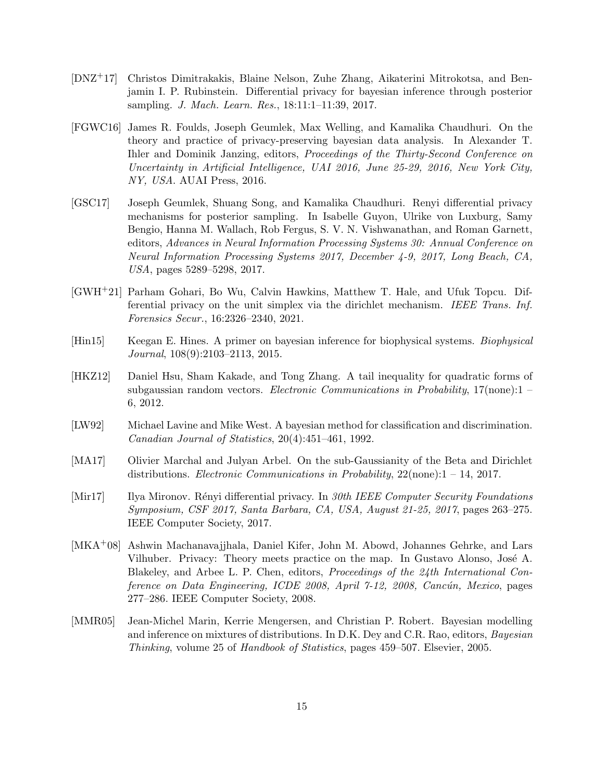- <span id="page-14-6"></span>[DNZ+17] Christos Dimitrakakis, Blaine Nelson, Zuhe Zhang, Aikaterini Mitrokotsa, and Benjamin I. P. Rubinstein. Differential privacy for bayesian inference through posterior sampling. J. Mach. Learn. Res., 18:11:1–11:39, 2017.
- <span id="page-14-7"></span>[FGWC16] James R. Foulds, Joseph Geumlek, Max Welling, and Kamalika Chaudhuri. On the theory and practice of privacy-preserving bayesian data analysis. In Alexander T. Ihler and Dominik Janzing, editors, Proceedings of the Thirty-Second Conference on Uncertainty in Artificial Intelligence, UAI 2016, June 25-29, 2016, New York City, NY, USA. AUAI Press, 2016.
- <span id="page-14-4"></span>[GSC17] Joseph Geumlek, Shuang Song, and Kamalika Chaudhuri. Renyi differential privacy mechanisms for posterior sampling. In Isabelle Guyon, Ulrike von Luxburg, Samy Bengio, Hanna M. Wallach, Rob Fergus, S. V. N. Vishwanathan, and Roman Garnett, editors, Advances in Neural Information Processing Systems 30: Annual Conference on Neural Information Processing Systems 2017, December 4-9, 2017, Long Beach, CA, USA, pages 5289–5298, 2017.
- <span id="page-14-5"></span>[GWH+21] Parham Gohari, Bo Wu, Calvin Hawkins, Matthew T. Hale, and Ufuk Topcu. Differential privacy on the unit simplex via the dirichlet mechanism. IEEE Trans. Inf. Forensics Secur., 16:2326–2340, 2021.
- <span id="page-14-2"></span>[Hin15] Keegan E. Hines. A primer on bayesian inference for biophysical systems. Biophysical Journal, 108(9):2103–2113, 2015.
- <span id="page-14-9"></span>[HKZ12] Daniel Hsu, Sham Kakade, and Tong Zhang. A tail inequality for quadratic forms of subgaussian random vectors. Electronic Communications in Probability,  $17$ (none): $1$ 6, 2012.
- <span id="page-14-0"></span>[LW92] Michael Lavine and Mike West. A bayesian method for classification and discrimination. Canadian Journal of Statistics, 20(4):451–461, 1992.
- <span id="page-14-10"></span>[MA17] Olivier Marchal and Julyan Arbel. On the sub-Gaussianity of the Beta and Dirichlet distributions. Electronic Communications in Probability, 22(none):1 – 14, 2017.
- <span id="page-14-3"></span>[Mir17] Ilya Mironov. Rényi differential privacy. In 30th IEEE Computer Security Foundations Symposium, CSF 2017, Santa Barbara, CA, USA, August 21-25, 2017, pages 263–275. IEEE Computer Society, 2017.
- <span id="page-14-8"></span>[MKA+08] Ashwin Machanavajjhala, Daniel Kifer, John M. Abowd, Johannes Gehrke, and Lars Vilhuber. Privacy: Theory meets practice on the map. In Gustavo Alonso, José A. Blakeley, and Arbee L. P. Chen, editors, Proceedings of the 24th International Conference on Data Engineering, ICDE 2008, April 7-12, 2008, Cancún, Mexico, pages 277–286. IEEE Computer Society, 2008.
- <span id="page-14-1"></span>[MMR05] Jean-Michel Marin, Kerrie Mengersen, and Christian P. Robert. Bayesian modelling and inference on mixtures of distributions. In D.K. Dey and C.R. Rao, editors, Bayesian Thinking, volume 25 of Handbook of Statistics, pages 459–507. Elsevier, 2005.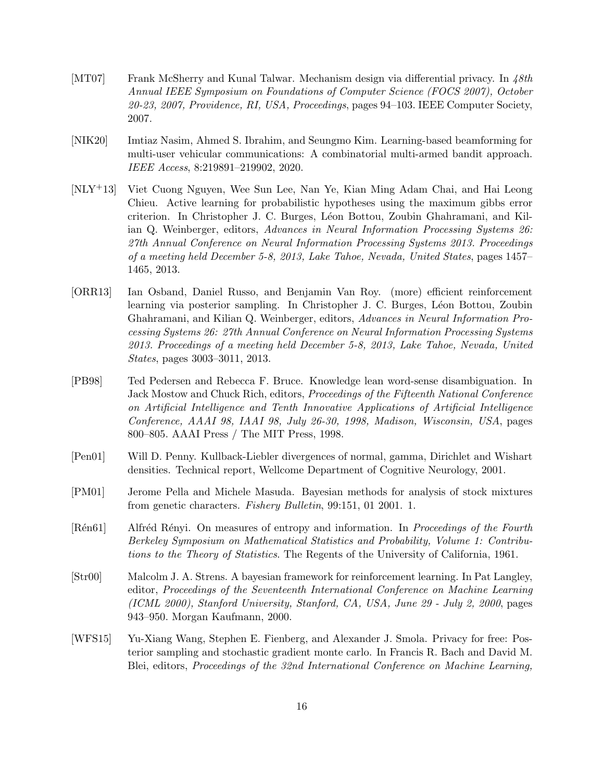- <span id="page-15-7"></span>[MT07] Frank McSherry and Kunal Talwar. Mechanism design via differential privacy. In 48th Annual IEEE Symposium on Foundations of Computer Science (FOCS 2007), October 20-23, 2007, Providence, RI, USA, Proceedings, pages 94–103. IEEE Computer Society, 2007.
- <span id="page-15-3"></span>[NIK20] Imtiaz Nasim, Ahmed S. Ibrahim, and Seungmo Kim. Learning-based beamforming for multi-user vehicular communications: A combinatorial multi-armed bandit approach. IEEE Access, 8:219891–219902, 2020.
- <span id="page-15-2"></span>[NLY+13] Viet Cuong Nguyen, Wee Sun Lee, Nan Ye, Kian Ming Adam Chai, and Hai Leong Chieu. Active learning for probabilistic hypotheses using the maximum gibbs error criterion. In Christopher J. C. Burges, L´eon Bottou, Zoubin Ghahramani, and Kilian Q. Weinberger, editors, Advances in Neural Information Processing Systems 26: 27th Annual Conference on Neural Information Processing Systems 2013. Proceedings of a meeting held December 5-8, 2013, Lake Tahoe, Nevada, United States, pages 1457– 1465, 2013.
- <span id="page-15-5"></span>[ORR13] Ian Osband, Daniel Russo, and Benjamin Van Roy. (more) efficient reinforcement learning via posterior sampling. In Christopher J. C. Burges, Léon Bottou, Zoubin Ghahramani, and Kilian Q. Weinberger, editors, Advances in Neural Information Processing Systems 26: 27th Annual Conference on Neural Information Processing Systems 2013. Proceedings of a meeting held December 5-8, 2013, Lake Tahoe, Nevada, United States, pages 3003–3011, 2013.
- <span id="page-15-0"></span>[PB98] Ted Pedersen and Rebecca F. Bruce. Knowledge lean word-sense disambiguation. In Jack Mostow and Chuck Rich, editors, Proceedings of the Fifteenth National Conference on Artificial Intelligence and Tenth Innovative Applications of Artificial Intelligence Conference, AAAI 98, IAAI 98, July 26-30, 1998, Madison, Wisconsin, USA, pages 800–805. AAAI Press / The MIT Press, 1998.
- <span id="page-15-9"></span>[Pen01] Will D. Penny. Kullback-Liebler divergences of normal, gamma, Dirichlet and Wishart densities. Technical report, Wellcome Department of Cognitive Neurology, 2001.
- <span id="page-15-1"></span>[PM01] Jerome Pella and Michele Masuda. Bayesian methods for analysis of stock mixtures from genetic characters. Fishery Bulletin, 99:151, 01 2001. 1.
- <span id="page-15-6"></span>[Ren61] Alfred Renyi. On measures of entropy and information. In Proceedings of the Fourth Berkeley Symposium on Mathematical Statistics and Probability, Volume 1: Contributions to the Theory of Statistics. The Regents of the University of California, 1961.
- <span id="page-15-4"></span>[Str00] Malcolm J. A. Strens. A bayesian framework for reinforcement learning. In Pat Langley, editor, Proceedings of the Seventeenth International Conference on Machine Learning (ICML 2000), Stanford University, Stanford, CA, USA, June 29 - July 2, 2000, pages 943–950. Morgan Kaufmann, 2000.
- <span id="page-15-8"></span>[WFS15] Yu-Xiang Wang, Stephen E. Fienberg, and Alexander J. Smola. Privacy for free: Posterior sampling and stochastic gradient monte carlo. In Francis R. Bach and David M. Blei, editors, Proceedings of the 32nd International Conference on Machine Learning,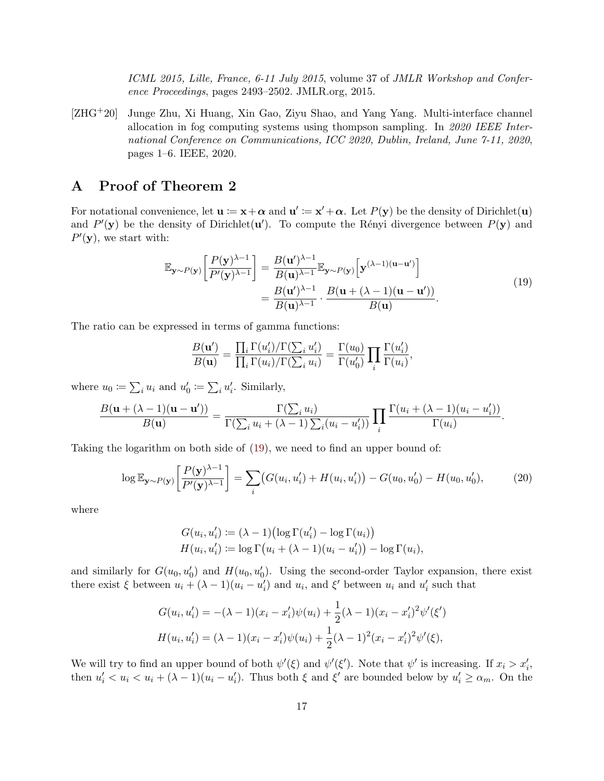ICML 2015, Lille, France, 6-11 July 2015, volume 37 of JMLR Workshop and Conference Proceedings, pages 2493–2502. JMLR.org, 2015.

<span id="page-16-0"></span>[ZHG+20] Junge Zhu, Xi Huang, Xin Gao, Ziyu Shao, and Yang Yang. Multi-interface channel allocation in fog computing systems using thompson sampling. In 2020 IEEE International Conference on Communications, ICC 2020, Dublin, Ireland, June 7-11, 2020, pages 1–6. IEEE, 2020.

# A Proof of Theorem 2

For notational convenience, let  $\mathbf{u} := \mathbf{x} + \boldsymbol{\alpha}$  and  $\mathbf{u}' := \mathbf{x}' + \boldsymbol{\alpha}$ . Let  $P(\mathbf{y})$  be the density of Dirichlet(**u**) and  $P'(\mathbf{y})$  be the density of Dirichlet(**u**'). To compute the Rényi divergence between  $P(\mathbf{y})$  and  $P'(\mathbf{y})$ , we start with:

$$
\mathbb{E}_{\mathbf{y} \sim P(\mathbf{y})} \left[ \frac{P(\mathbf{y})^{\lambda - 1}}{P'(\mathbf{y})^{\lambda - 1}} \right] = \frac{B(\mathbf{u}')^{\lambda - 1}}{B(\mathbf{u})^{\lambda - 1}} \mathbb{E}_{\mathbf{y} \sim P(\mathbf{y})} \left[ \mathbf{y}^{(\lambda - 1)(\mathbf{u} - \mathbf{u}')} \right]
$$
\n
$$
= \frac{B(\mathbf{u}')^{\lambda - 1}}{B(\mathbf{u})^{\lambda - 1}} \cdot \frac{B(\mathbf{u} + (\lambda - 1)(\mathbf{u} - \mathbf{u}'))}{B(\mathbf{u})}.
$$
\n(19)

<span id="page-16-1"></span>The ratio can be expressed in terms of gamma functions:

$$
\frac{B(\mathbf{u}')}{B(\mathbf{u})} = \frac{\prod_i \Gamma(u'_i) / \Gamma(\sum_i u'_i)}{\prod_i \Gamma(u_i) / \Gamma(\sum_i u_i)} = \frac{\Gamma(u_0)}{\Gamma(u'_0)} \prod_i \frac{\Gamma(u'_i)}{\Gamma(u_i)},
$$

where  $u_0 \coloneqq \sum_i u_i$  and  $u'_0 \coloneqq \sum_i u'_i$ . Similarly,

$$
\frac{B(\mathbf{u}+(\lambda-1)(\mathbf{u}-\mathbf{u}'))}{B(\mathbf{u})}=\frac{\Gamma(\sum_i u_i)}{\Gamma(\sum_i u_i+(\lambda-1)\sum_i (u_i-u_i'))}\prod_i \frac{\Gamma(u_i+(\lambda-1)(u_i-u_i'))}{\Gamma(u_i)}.
$$

Taking the logarithm on both side of [\(19\)](#page-16-1), we need to find an upper bound of:

<span id="page-16-2"></span>
$$
\log \mathbb{E}_{\mathbf{y} \sim P(\mathbf{y})} \left[ \frac{P(\mathbf{y})^{\lambda - 1}}{P'(\mathbf{y})^{\lambda - 1}} \right] = \sum_{i} \left( G(u_i, u_i') + H(u_i, u_i') \right) - G(u_0, u_0') - H(u_0, u_0'), \tag{20}
$$

where

$$
G(u_i, u'_i) := (\lambda - 1) \left( \log \Gamma(u'_i) - \log \Gamma(u_i) \right)
$$
  

$$
H(u_i, u'_i) := \log \Gamma(u_i + (\lambda - 1)(u_i - u'_i)) - \log \Gamma(u_i),
$$

and similarly for  $G(u_0, u'_0)$  and  $H(u_0, u'_0)$ . Using the second-order Taylor expansion, there exist there exist  $\xi$  between  $u_i + (\lambda - 1)(u_i - u'_i)$  and  $u_i$ , and  $\xi'$  between  $u_i$  and  $u'_i$  such that

$$
G(u_i, u'_i) = -(\lambda - 1)(x_i - x'_i)\psi(u_i) + \frac{1}{2}(\lambda - 1)(x_i - x'_i)^2\psi'(\xi')
$$
  

$$
H(u_i, u'_i) = (\lambda - 1)(x_i - x'_i)\psi(u_i) + \frac{1}{2}(\lambda - 1)^2(x_i - x'_i)^2\psi'(\xi),
$$

We will try to find an upper bound of both  $\psi'(\xi)$  and  $\psi'(\xi')$ . Note that  $\psi'$  is increasing. If  $x_i > x'_i$ , then  $u'_i < u_i < u_i + (\lambda - 1)(u_i - u'_i)$ . Thus both  $\xi$  and  $\xi'$  are bounded below by  $u'_i \ge \alpha_m$ . On the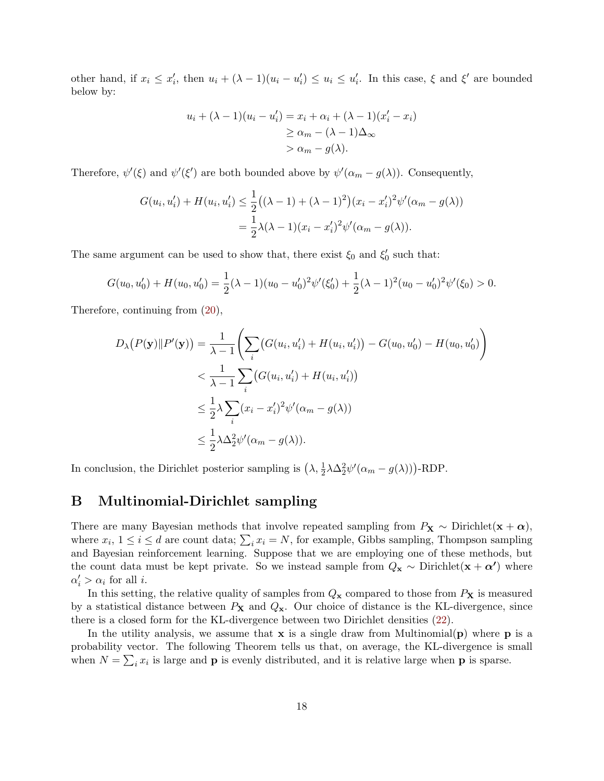other hand, if  $x_i \leq x'_i$ , then  $u_i + (\lambda - 1)(u_i - u'_i) \leq u_i \leq u'_i$ . In this case,  $\xi$  and  $\xi'$  are bounded below by:

$$
u_i + (\lambda - 1)(u_i - u'_i) = x_i + \alpha_i + (\lambda - 1)(x'_i - x_i)
$$
  
\n
$$
\ge \alpha_m - (\lambda - 1)\Delta_{\infty}
$$
  
\n
$$
> \alpha_m - g(\lambda).
$$

Therefore,  $\psi'(\xi)$  and  $\psi'(\xi')$  are both bounded above by  $\psi'(\alpha_m - g(\lambda))$ . Consequently,

$$
G(u_i, u'_i) + H(u_i, u'_i) \le \frac{1}{2} ((\lambda - 1) + (\lambda - 1)^2) (x_i - x'_i)^2 \psi'(\alpha_m - g(\lambda))
$$
  
=  $\frac{1}{2} \lambda (\lambda - 1) (x_i - x'_i)^2 \psi'(\alpha_m - g(\lambda)).$ 

The same argument can be used to show that, there exist  $\xi_0$  and  $\xi'_0$  such that:

$$
G(u_0, u'_0) + H(u_0, u'_0) = \frac{1}{2}(\lambda - 1)(u_0 - u'_0)^2 \psi'(\xi'_0) + \frac{1}{2}(\lambda - 1)^2 (u_0 - u'_0)^2 \psi'(\xi_0) > 0.
$$

Therefore, continuing from [\(20\)](#page-16-2),

$$
D_{\lambda}(P(\mathbf{y})||P'(\mathbf{y})) = \frac{1}{\lambda - 1} \Biggl( \sum_{i} \bigl( G(u_i, u'_i) + H(u_i, u'_i) \bigr) - G(u_0, u'_0) - H(u_0, u'_0) \Biggr)
$$
  

$$
< \frac{1}{\lambda - 1} \sum_{i} \bigl( G(u_i, u'_i) + H(u_i, u'_i) \bigr)
$$
  

$$
\leq \frac{1}{2} \lambda \sum_{i} (x_i - x'_i)^2 \psi'(\alpha_m - g(\lambda))
$$
  

$$
\leq \frac{1}{2} \lambda \Delta_2^2 \psi'(\alpha_m - g(\lambda)).
$$

In conclusion, the Dirichlet posterior sampling is  $(\lambda, \frac{1}{2} \lambda \Delta_2^2 \psi'(\alpha_m - g(\lambda)))$ -RDP.

### B Multinomial-Dirichlet sampling

There are many Bayesian methods that involve repeated sampling from  $P_X \sim$  Dirichlet $(x + \alpha)$ , where  $x_i$ ,  $1 \leq i \leq d$  are count data;  $\sum_i x_i = N$ , for example, Gibbs sampling, Thompson sampling and Bayesian reinforcement learning. Suppose that we are employing one of these methods, but the count data must be kept private. So we instead sample from  $Q_x \sim$  Dirichlet $(x + \alpha')$  where  $\alpha'_i > \alpha_i$  for all *i*.

In this setting, the relative quality of samples from  $Q_x$  compared to those from  $P_x$  is measured by a statistical distance between  $P_X$  and  $Q_X$ . Our choice of distance is the KL-divergence, since there is a closed form for the KL-divergence between two Dirichlet densities [\(22\)](#page-18-0).

In the utility analysis, we assume that  $x$  is a single draw from Multinomial( $\bf{p}$ ) where  $\bf{p}$  is a probability vector. The following Theorem tells us that, on average, the KL-divergence is small when  $N = \sum_i x_i$  is large and **p** is evenly distributed, and it is relative large when **p** is sparse.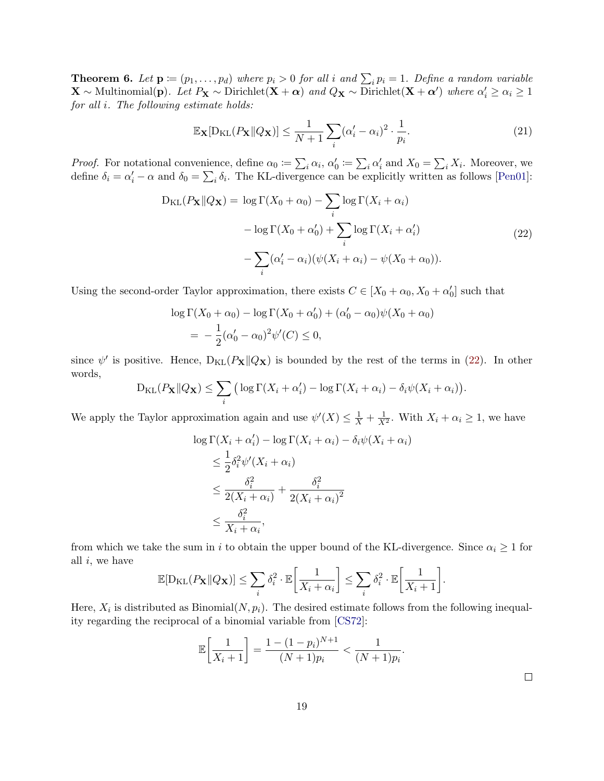**Theorem 6.** Let  $\mathbf{p} := (p_1, \ldots, p_d)$  where  $p_i > 0$  for all i and  $\sum_i p_i = 1$ . Define a random variable  $\mathbf{X} \sim \text{Multinomial}(\mathbf{p})$ . Let  $P_{\mathbf{X}} \sim \text{Dirichlet}(\mathbf{X} + \boldsymbol{\alpha})$  and  $Q_{\mathbf{X}} \sim \text{Dirichlet}(\mathbf{X} + \boldsymbol{\alpha}')$  where  $\alpha'_i \geq \alpha_i \geq 1$ for all i. The following estimate holds:

<span id="page-18-1"></span>
$$
\mathbb{E}_{\mathbf{X}}[\mathcal{D}_{\mathrm{KL}}(P_{\mathbf{X}} \| Q_{\mathbf{X}})] \le \frac{1}{N+1} \sum_{i} (\alpha_i' - \alpha_i)^2 \cdot \frac{1}{p_i}.
$$
\n(21)

*Proof.* For notational convenience, define  $\alpha_0 := \sum_i \alpha_i$ ,  $\alpha'_0 := \sum_i \alpha'_i$  and  $X_0 = \sum_i X_i$ . Moreover, we define  $\delta_i = \alpha'_i - \alpha$  and  $\delta_0 = \sum_i \delta_i$ . The KL-divergence can be explicitly written as follows [\[Pen01\]](#page-15-9):

$$
D_{KL}(P_{\mathbf{X}}||Q_{\mathbf{X}}) = \log \Gamma(X_0 + \alpha_0) - \sum_{i} \log \Gamma(X_i + \alpha_i)
$$

$$
- \log \Gamma(X_0 + \alpha'_0) + \sum_{i} \log \Gamma(X_i + \alpha'_i)
$$
(22)
$$
- \sum_{i} (\alpha'_i - \alpha_i) (\psi(X_i + \alpha_i) - \psi(X_0 + \alpha_0)).
$$

<span id="page-18-0"></span>Using the second-order Taylor approximation, there exists  $C \in [X_0 + \alpha_0, X_0 + \alpha'_0]$  such that

$$
\log \Gamma(X_0 + \alpha_0) - \log \Gamma(X_0 + \alpha'_0) + (\alpha'_0 - \alpha_0)\psi(X_0 + \alpha_0)
$$
  
=  $-\frac{1}{2}(\alpha'_0 - \alpha_0)^2\psi'(C) \le 0,$ 

since  $\psi'$  is positive. Hence,  $D_{KL}(P_{\mathbf{X}}||Q_{\mathbf{X}})$  is bounded by the rest of the terms in [\(22\)](#page-18-0). In other words,

$$
D_{KL}(P_{\mathbf{X}} \| Q_{\mathbf{X}}) \leq \sum_{i} \big( \log \Gamma(X_i + \alpha'_i) - \log \Gamma(X_i + \alpha_i) - \delta_i \psi(X_i + \alpha_i) \big).
$$

We apply the Taylor approximation again and use  $\psi'(X) \leq \frac{1}{X} + \frac{1}{X^2}$ . With  $X_i + \alpha_i \geq 1$ , we have

$$
\log \Gamma(X_i + \alpha'_i) - \log \Gamma(X_i + \alpha_i) - \delta_i \psi(X_i + \alpha_i)
$$
  
\n
$$
\leq \frac{1}{2} \delta_i^2 \psi'(X_i + \alpha_i)
$$
  
\n
$$
\leq \frac{\delta_i^2}{2(X_i + \alpha_i)} + \frac{\delta_i^2}{2(X_i + \alpha_i)^2}
$$
  
\n
$$
\leq \frac{\delta_i^2}{X_i + \alpha_i},
$$

from which we take the sum in i to obtain the upper bound of the KL-divergence. Since  $\alpha_i \geq 1$  for all  $i$ , we have

$$
\mathbb{E}[\mathcal{D}_{\mathrm{KL}}(P_{\mathbf{X}} \| Q_{\mathbf{X}})] \leq \sum_{i} \delta_i^2 \cdot \mathbb{E}\bigg[\frac{1}{X_i + \alpha_i}\bigg] \leq \sum_{i} \delta_i^2 \cdot \mathbb{E}\bigg[\frac{1}{X_i + 1}\bigg].
$$

Here,  $X_i$  is distributed as Binomial $(N, p_i)$ . The desired estimate follows from the following inequality regarding the reciprocal of a binomial variable from [\[CS72\]](#page-13-9):

$$
\mathbb{E}\left[\frac{1}{X_i+1}\right] = \frac{1 - (1 - p_i)^{N+1}}{(N+1)p_i} < \frac{1}{(N+1)p_i}.
$$

 $\Box$